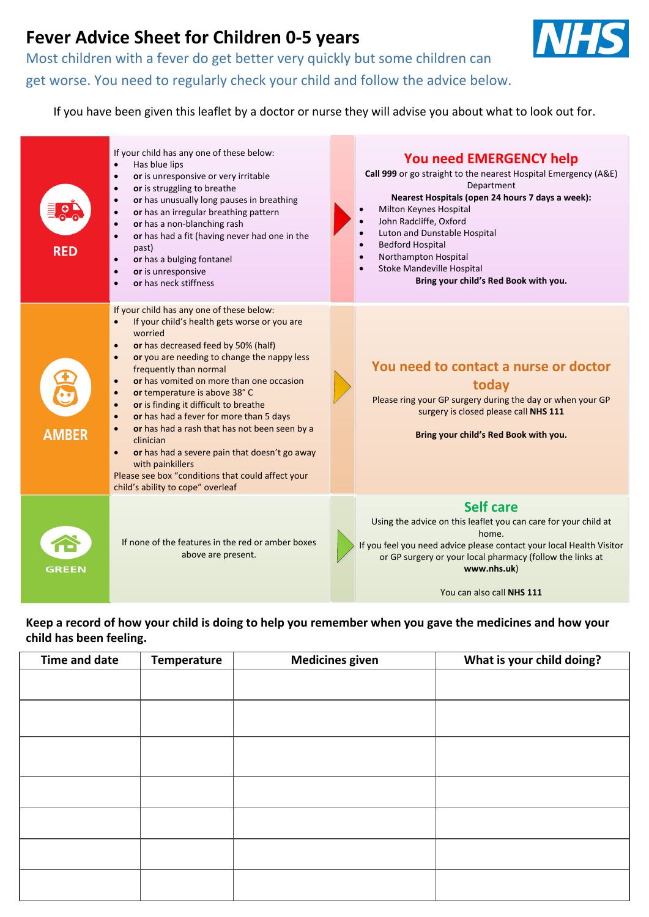# **Fever Advice Sheet for Children 0-5 years**

Most children with a fever do get better very quickly but some children can

get worse. You need to regularly check your child and follow the advice below.

If you have been given this leaflet by a doctor or nurse they will advise you about what to look out for.



Keep a record of how your child is doing to help you remember when you gave the medicines and how your **child has been feeling.**

| Time and date | Temperature | <b>Medicines given</b> | What is your child doing? |
|---------------|-------------|------------------------|---------------------------|
|               |             |                        |                           |
|               |             |                        |                           |
|               |             |                        |                           |
|               |             |                        |                           |
|               |             |                        |                           |
|               |             |                        |                           |
|               |             |                        |                           |
|               |             |                        |                           |
|               |             |                        |                           |
|               |             |                        |                           |
|               |             |                        |                           |
|               |             |                        |                           |
|               |             |                        |                           |
|               |             |                        |                           |